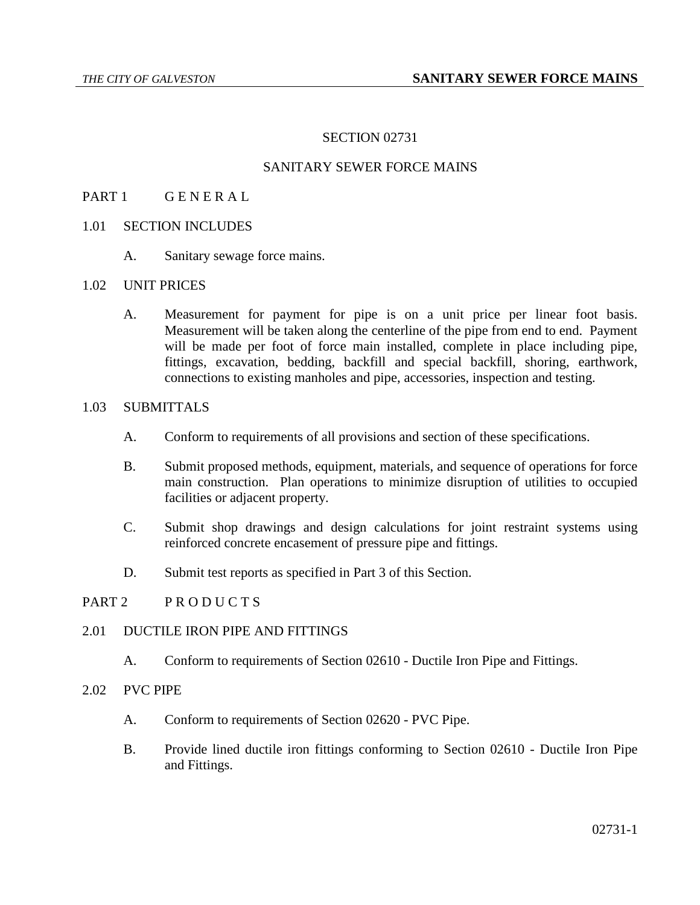# SECTION 02731

# SANITARY SEWER FORCE MAINS

### PART 1 GENERAL

- 1.01 SECTION INCLUDES
	- A. Sanitary sewage force mains.

### 1.02 UNIT PRICES

A. Measurement for payment for pipe is on a unit price per linear foot basis. Measurement will be taken along the centerline of the pipe from end to end. Payment will be made per foot of force main installed, complete in place including pipe, fittings, excavation, bedding, backfill and special backfill, shoring, earthwork, connections to existing manholes and pipe, accessories, inspection and testing.

#### 1.03 SUBMITTALS

- A. Conform to requirements of all provisions and section of these specifications.
- B. Submit proposed methods, equipment, materials, and sequence of operations for force main construction. Plan operations to minimize disruption of utilities to occupied facilities or adjacent property.
- C. Submit shop drawings and design calculations for joint restraint systems using reinforced concrete encasement of pressure pipe and fittings.
- D. Submit test reports as specified in Part 3 of this Section.

#### PART 2 PRODUCTS

#### 2.01 DUCTILE IRON PIPE AND FITTINGS

A. Conform to requirements of Section 02610 - Ductile Iron Pipe and Fittings.

### 2.02 PVC PIPE

- A. Conform to requirements of Section 02620 PVC Pipe.
- B. Provide lined ductile iron fittings conforming to Section 02610 Ductile Iron Pipe and Fittings.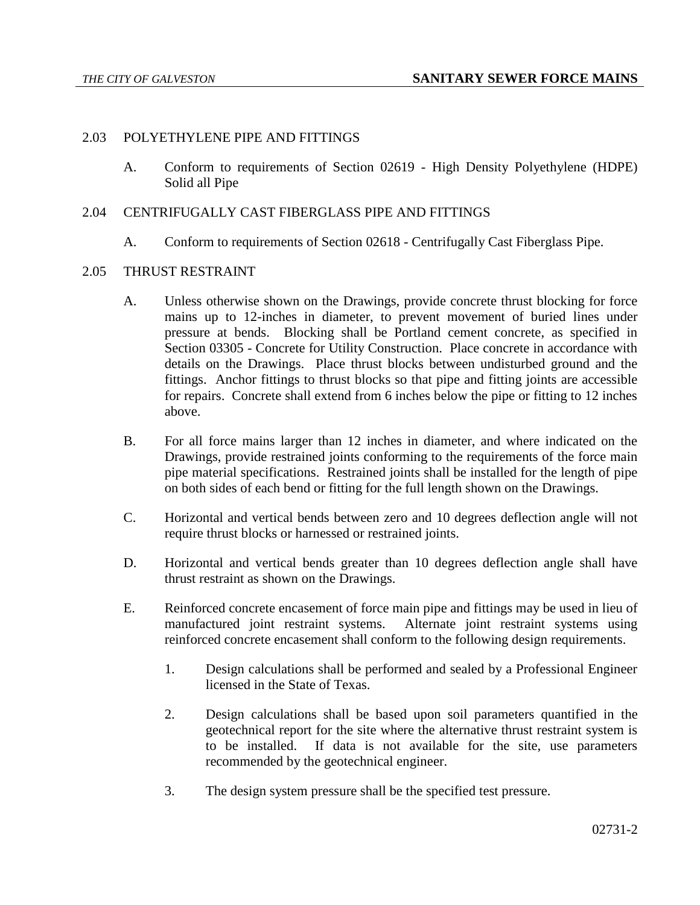### 2.03 POLYETHYLENE PIPE AND FITTINGS

A. Conform to requirements of Section 02619 - High Density Polyethylene (HDPE) Solid all Pipe

#### 2.04 CENTRIFUGALLY CAST FIBERGLASS PIPE AND FITTINGS

A. Conform to requirements of Section 02618 - Centrifugally Cast Fiberglass Pipe.

#### 2.05 THRUST RESTRAINT

- A. Unless otherwise shown on the Drawings, provide concrete thrust blocking for force mains up to 12-inches in diameter, to prevent movement of buried lines under pressure at bends. Blocking shall be Portland cement concrete, as specified in Section 03305 - Concrete for Utility Construction. Place concrete in accordance with details on the Drawings. Place thrust blocks between undisturbed ground and the fittings. Anchor fittings to thrust blocks so that pipe and fitting joints are accessible for repairs. Concrete shall extend from 6 inches below the pipe or fitting to 12 inches above.
- B. For all force mains larger than 12 inches in diameter, and where indicated on the Drawings, provide restrained joints conforming to the requirements of the force main pipe material specifications. Restrained joints shall be installed for the length of pipe on both sides of each bend or fitting for the full length shown on the Drawings.
- C. Horizontal and vertical bends between zero and 10 degrees deflection angle will not require thrust blocks or harnessed or restrained joints.
- D. Horizontal and vertical bends greater than 10 degrees deflection angle shall have thrust restraint as shown on the Drawings.
- E. Reinforced concrete encasement of force main pipe and fittings may be used in lieu of manufactured joint restraint systems. Alternate joint restraint systems using reinforced concrete encasement shall conform to the following design requirements.
	- 1. Design calculations shall be performed and sealed by a Professional Engineer licensed in the State of Texas.
	- 2. Design calculations shall be based upon soil parameters quantified in the geotechnical report for the site where the alternative thrust restraint system is to be installed. If data is not available for the site, use parameters recommended by the geotechnical engineer.
	- 3. The design system pressure shall be the specified test pressure.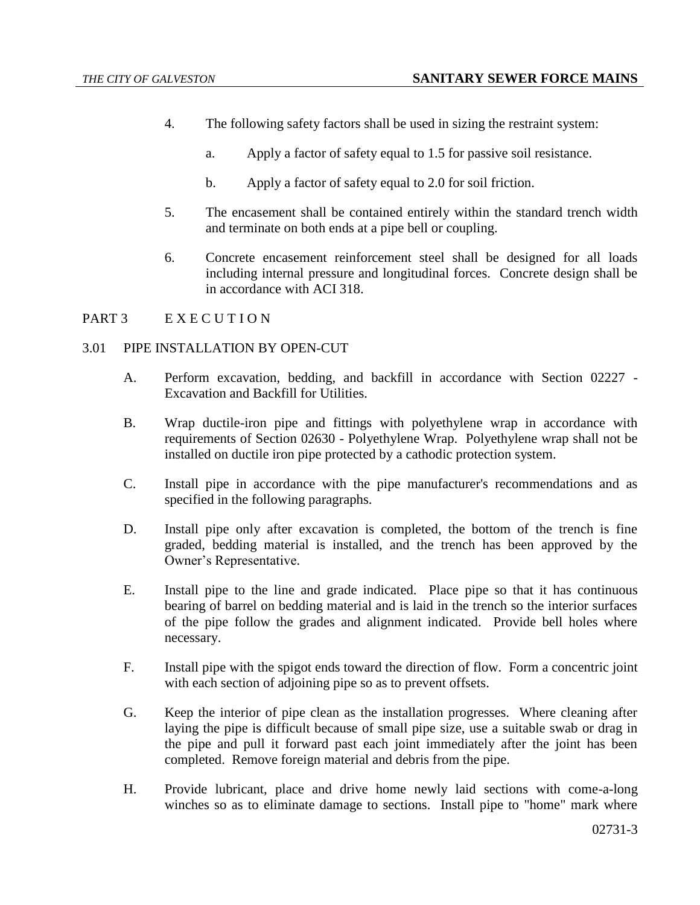- 4. The following safety factors shall be used in sizing the restraint system:
	- a. Apply a factor of safety equal to 1.5 for passive soil resistance.
	- b. Apply a factor of safety equal to 2.0 for soil friction.
- 5. The encasement shall be contained entirely within the standard trench width and terminate on both ends at a pipe bell or coupling.
- 6. Concrete encasement reinforcement steel shall be designed for all loads including internal pressure and longitudinal forces. Concrete design shall be in accordance with ACI 318.

# PART 3 EXECUTION

#### 3.01 PIPE INSTALLATION BY OPEN-CUT

- A. Perform excavation, bedding, and backfill in accordance with Section 02227 Excavation and Backfill for Utilities.
- B. Wrap ductile-iron pipe and fittings with polyethylene wrap in accordance with requirements of Section 02630 - Polyethylene Wrap. Polyethylene wrap shall not be installed on ductile iron pipe protected by a cathodic protection system.
- C. Install pipe in accordance with the pipe manufacturer's recommendations and as specified in the following paragraphs.
- D. Install pipe only after excavation is completed, the bottom of the trench is fine graded, bedding material is installed, and the trench has been approved by the Owner's Representative.
- E. Install pipe to the line and grade indicated. Place pipe so that it has continuous bearing of barrel on bedding material and is laid in the trench so the interior surfaces of the pipe follow the grades and alignment indicated. Provide bell holes where necessary.
- F. Install pipe with the spigot ends toward the direction of flow. Form a concentric joint with each section of adjoining pipe so as to prevent offsets.
- G. Keep the interior of pipe clean as the installation progresses. Where cleaning after laying the pipe is difficult because of small pipe size, use a suitable swab or drag in the pipe and pull it forward past each joint immediately after the joint has been completed. Remove foreign material and debris from the pipe.
- H. Provide lubricant, place and drive home newly laid sections with come-a-long winches so as to eliminate damage to sections. Install pipe to "home" mark where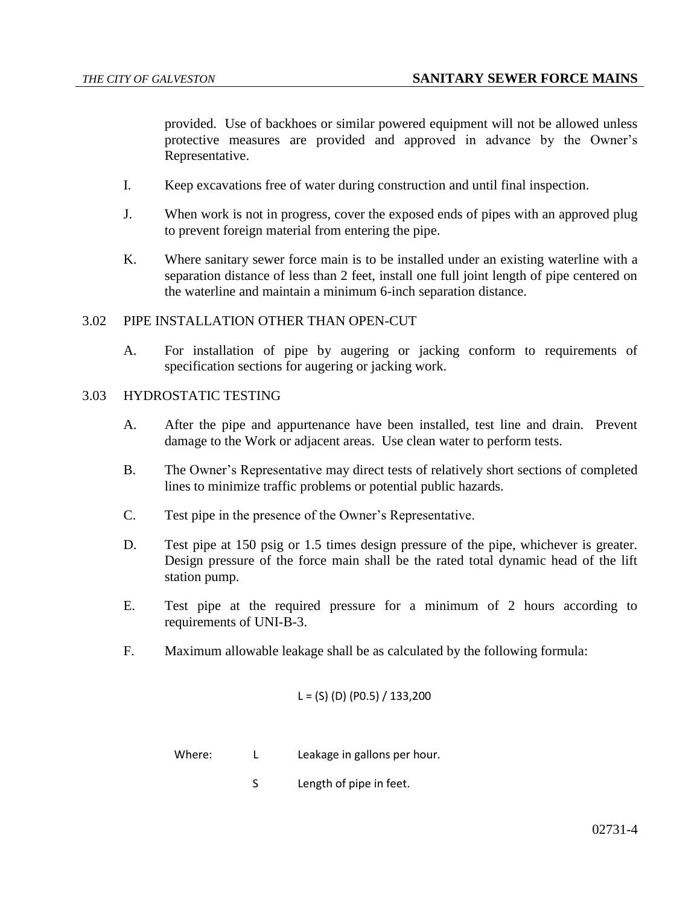provided. Use of backhoes or similar powered equipment will not be allowed unless protective measures are provided and approved in advance by the Owner's Representative.

- I. Keep excavations free of water during construction and until final inspection.
- J. When work is not in progress, cover the exposed ends of pipes with an approved plug to prevent foreign material from entering the pipe.
- K. Where sanitary sewer force main is to be installed under an existing waterline with a separation distance of less than 2 feet, install one full joint length of pipe centered on the waterline and maintain a minimum 6-inch separation distance.

### 3.02 PIPE INSTALLATION OTHER THAN OPEN-CUT

A. For installation of pipe by augering or jacking conform to requirements of specification sections for augering or jacking work.

# 3.03 HYDROSTATIC TESTING

- A. After the pipe and appurtenance have been installed, test line and drain. Prevent damage to the Work or adjacent areas. Use clean water to perform tests.
- B. The Owner's Representative may direct tests of relatively short sections of completed lines to minimize traffic problems or potential public hazards.
- C. Test pipe in the presence of the Owner's Representative.
- D. Test pipe at 150 psig or 1.5 times design pressure of the pipe, whichever is greater. Design pressure of the force main shall be the rated total dynamic head of the lift station pump.
- E. Test pipe at the required pressure for a minimum of 2 hours according to requirements of UNI-B-3.
- F. Maximum allowable leakage shall be as calculated by the following formula:

$$
L = (S) (D) (P0.5) / 133,200
$$

Where: L Leakage in gallons per hour.

S Length of pipe in feet.